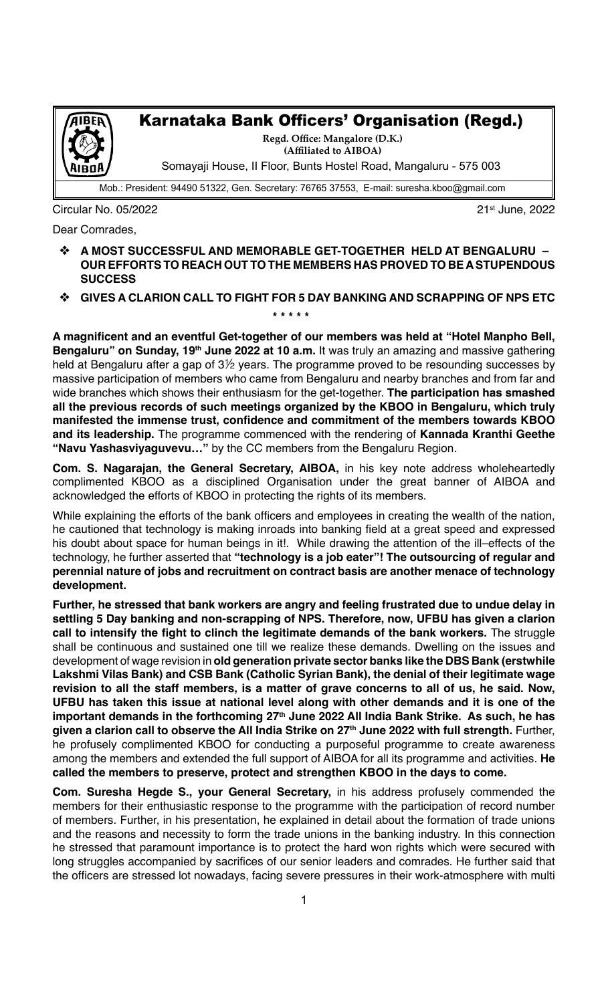

## Karnataka Bank Officers' Organisation (Regd.)

**Regd. Office: Mangalore (D.K.) (Affiliated to AIBOA)** Somayaji House, II Floor, Bunts Hostel Road, Mangaluru - 575 003

Mob.: President: 94490 51322, Gen. Secretary: 76765 37553, E-mail: suresha.kboo@gmail.com

Circular No. 05/2022 21st June, 2022

 **\* \* \* \* \***

Dear Comrades,

- v **A MOST SUCCESSFUL AND MEMORABLE GET-TOGETHER HELD AT BENGALURU – OUR EFFORTS TO REACH OUT TO THE MEMBERS HAS PROVED TO BE A STUPENDOUS SUCCESS**
- **GIVES A CLARION CALL TO FIGHT FOR 5 DAY BANKING AND SCRAPPING OF NPS ETC**

**A magnificent and an eventful Get-together of our members was held at "Hotel Manpho Bell, Bengaluru" on Sunday, 19<sup>th</sup> June 2022 at 10 a.m.** It was truly an amazing and massive gathering held at Bengaluru after a gap of  $3\frac{1}{2}$  years. The programme proved to be resounding successes by massive participation of members who came from Bengaluru and nearby branches and from far and wide branches which shows their enthusiasm for the get-together. **The participation has smashed all the previous records of such meetings organized by the KBOO in Bengaluru, which truly manifested the immense trust, confidence and commitment of the members towards KBOO and its leadership.** The programme commenced with the rendering of **Kannada Kranthi Geethe "Navu Yashasviyaguvevu…"** by the CC members from the Bengaluru Region.

**Com. S. Nagarajan, the General Secretary, AIBOA,** in his key note address wholeheartedly complimented KBOO as a disciplined Organisation under the great banner of AIBOA and acknowledged the efforts of KBOO in protecting the rights of its members.

While explaining the efforts of the bank officers and employees in creating the wealth of the nation, he cautioned that technology is making inroads into banking field at a great speed and expressed his doubt about space for human beings in it!. While drawing the attention of the ill-effects of the technology, he further asserted that **"technology is a job eater"! The outsourcing of regular and perennial nature of jobs and recruitment on contract basis are another menace of technology development.**

**Further, he stressed that bank workers are angry and feeling frustrated due to undue delay in settling 5 Day banking and non-scrapping of NPS. Therefore, now, UFBU has given a clarion call to intensify the fight to clinch the legitimate demands of the bank workers.** The struggle shall be continuous and sustained one till we realize these demands. Dwelling on the issues and development of wage revision in **old generation private sector banks like the DBS Bank (erstwhile Lakshmi Vilas Bank) and CSB Bank (Catholic Syrian Bank), the denial of their legitimate wage revision to all the staff members, is a matter of grave concerns to all of us, he said. Now, UFBU has taken this issue at national level along with other demands and it is one of the**  important demands in the forthcoming 27<sup>th</sup> June 2022 All India Bank Strike. As such, he has given a clarion call to observe the All India Strike on 27<sup>th</sup> June 2022 with full strength. Further, he profusely complimented KBOO for conducting a purposeful programme to create awareness among the members and extended the full support of AIBOA for all its programme and activities. **He called the members to preserve, protect and strengthen KBOO in the days to come.** 

**Com. Suresha Hegde S., your General Secretary,** in his address profusely commended the members for their enthusiastic response to the programme with the participation of record number of members. Further, in his presentation, he explained in detail about the formation of trade unions and the reasons and necessity to form the trade unions in the banking industry. In this connection he stressed that paramount importance is to protect the hard won rights which were secured with long struggles accompanied by sacrifices of our senior leaders and comrades. He further said that the officers are stressed lot nowadays, facing severe pressures in their work-atmosphere with multi